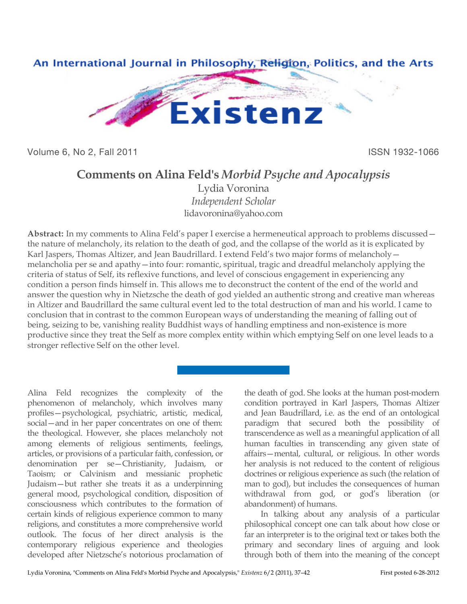

Volume 6, No 2, Fall 2011 **ISSN 1932-1066** 

## **Comments on Alina Feld's** *Morbid Psyche and Apocalypsis*

Lydia Voronina *Independent Scholar* lidavoronina@yahoo.com

**Abstract:** In my comments to Alina Feld's paper I exercise a hermeneutical approach to problems discussed the nature of melancholy, its relation to the death of god, and the collapse of the world as it is explicated by Karl Jaspers, Thomas Altizer, and Jean Baudrillard. I extend Feld's two major forms of melancholy melancholia per se and apathy—into four: romantic, spiritual, tragic and dreadful melancholy applying the criteria of status of Self, its reflexive functions, and level of conscious engagement in experiencing any condition a person finds himself in. This allows me to deconstruct the content of the end of the world and answer the question why in Nietzsche the death of god yielded an authentic strong and creative man whereas in Altizer and Baudrillard the same cultural event led to the total destruction of man and his world. I came to conclusion that in contrast to the common European ways of understanding the meaning of falling out of being, seizing to be, vanishing reality Buddhist ways of handling emptiness and non-existence is more productive since they treat the Self as more complex entity within which emptying Self on one level leads to a stronger reflective Self on the other level.

Alina Feld recognizes the complexity of the phenomenon of melancholy, which involves many profiles—psychological, psychiatric, artistic, medical, social—and in her paper concentrates on one of them: the theological. However, she places melancholy not among elements of religious sentiments, feelings, articles, or provisions of a particular faith, confession, or denomination per se—Christianity, Judaism, or Taoism; or Calvinism and messianic prophetic Judaism—but rather she treats it as a underpinning general mood, psychological condition, disposition of consciousness which contributes to the formation of certain kinds of religious experience common to many religions, and constitutes a more comprehensive world outlook. The focus of her direct analysis is the contemporary religious experience and theologies developed after Nietzsche's notorious proclamation of

the death of god. She looks at the human post-modern condition portrayed in Karl Jaspers, Thomas Altizer and Jean Baudrillard, i.e. as the end of an ontological paradigm that secured both the possibility of transcendence as well as a meaningful application of all human faculties in transcending any given state of affairs—mental, cultural, or religious. In other words her analysis is not reduced to the content of religious doctrines or religious experience as such (the relation of man to god), but includes the consequences of human withdrawal from god, or god's liberation (or abandonment) of humans.

In talking about any analysis of a particular philosophical concept one can talk about how close or far an interpreter is to the original text or takes both the primary and secondary lines of arguing and look through both of them into the meaning of the concept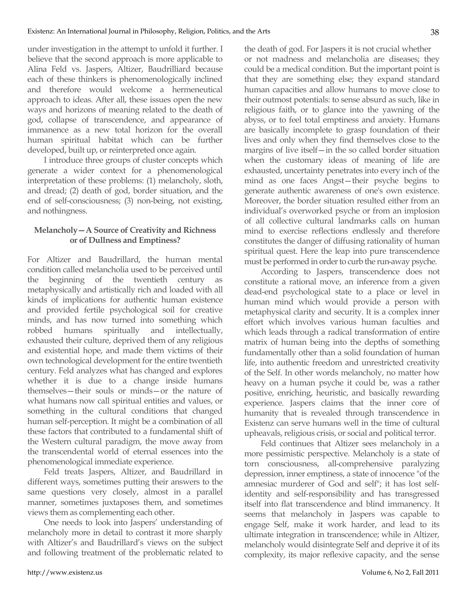under investigation in the attempt to unfold it further. I believe that the second approach is more applicable to Alina Feld vs. Jaspers, Altizer, Baudrilliard because each of these thinkers is phenomenologically inclined and therefore would welcome a hermeneutical approach to ideas. After all, these issues open the new ways and horizons of meaning related to the death of god, collapse of transcendence, and appearance of immanence as a new total horizon for the overall human spiritual habitat which can be further developed, built up, or reinterpreted once again.

I introduce three groups of cluster concepts which generate a wider context for a phenomenological interpretation of these problems: (1) melancholy, sloth, and dread; (2) death of god, border situation, and the end of self-consciousness; (3) non-being, not existing, and nothingness.

## **Melancholy—A Source of Creativity and Richness or of Dullness and Emptiness?**

For Altizer and Baudrillard, the human mental condition called melancholia used to be perceived until the beginning of the twentieth century as metaphysically and artistically rich and loaded with all kinds of implications for authentic human existence and provided fertile psychological soil for creative minds, and has now turned into something which robbed humans spiritually and intellectually, exhausted their culture, deprived them of any religious and existential hope, and made them victims of their own technological development for the entire twentieth century. Feld analyzes what has changed and explores whether it is due to a change inside humans themselves—their souls or minds—or the nature of what humans now call spiritual entities and values, or something in the cultural conditions that changed human self-perception. It might be a combination of all these factors that contributed to a fundamental shift of the Western cultural paradigm, the move away from the transcendental world of eternal essences into the phenomenological immediate experience.

Feld treats Jaspers, Altizer, and Baudrillard in different ways, sometimes putting their answers to the same questions very closely, almost in a parallel manner, sometimes juxtaposes them, and sometimes views them as complementing each other.

One needs to look into Jaspers' understanding of melancholy more in detail to contrast it more sharply with Altizer's and Baudrillard's views on the subject and following treatment of the problematic related to the death of god. For Jaspers it is not crucial whether or not madness and melancholia are diseases; they could be a medical condition. But the important point is that they are something else; they expand standard human capacities and allow humans to move close to their outmost potentials: to sense absurd as such, like in religious faith, or to glance into the yawning of the abyss, or to feel total emptiness and anxiety. Humans are basically incomplete to grasp foundation of their lives and only when they find themselves close to the margins of live itself—in the so called border situation when the customary ideas of meaning of life are exhausted, uncertainty penetrates into every inch of the mind as one faces Angst—their psyche begins to generate authentic awareness of one's own existence. Moreover, the border situation resulted either from an individual's overworked psyche or from an implosion of all collective cultural landmarks calls on human mind to exercise reflections endlessly and therefore constitutes the danger of diffusing rationality of human spiritual quest. Here the leap into pure transcendence must be performed in order to curb the run-away psyche.

According to Jaspers, transcendence does not constitute a rational move, an inference from a given dead-end psychological state to a place or level in human mind which would provide a person with metaphysical clarity and security. It is a complex inner effort which involves various human faculties and which leads through a radical transformation of entire matrix of human being into the depths of something fundamentally other than a solid foundation of human life, into authentic freedom and unrestricted creativity of the Self. In other words melancholy, no matter how heavy on a human psyche it could be, was a rather positive, enriching, heuristic, and basically rewarding experience. Jaspers claims that the inner core of humanity that is revealed through transcendence in Existenz can serve humans well in the time of cultural upheavals, religious crisis, or social and political terror.

Feld continues that Altizer sees melancholy in a more pessimistic perspective. Melancholy is a state of torn consciousness, all-comprehensive paralyzing depression, inner emptiness, a state of innocence "of the amnesiac murderer of God and self"; it has lost selfidentity and self-responsibility and has transgressed itself into flat transcendence and blind immanency. It seems that melancholy in Jaspers was capable to engage Self, make it work harder, and lead to its ultimate integration in transcendence; while in Altizer, melancholy would disintegrate Self and deprive it of its complexity, its major reflexive capacity, and the sense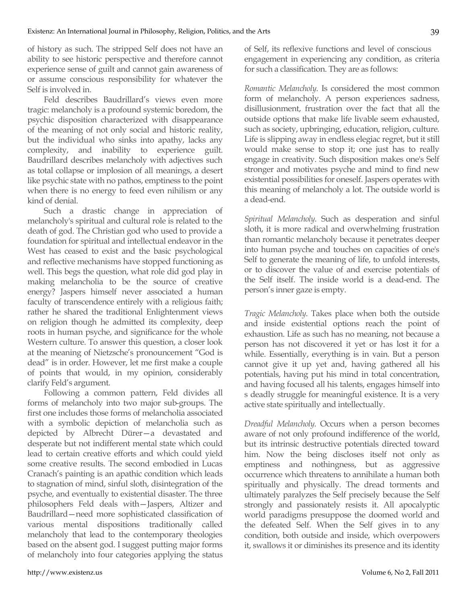of history as such. The stripped Self does not have an ability to see historic perspective and therefore cannot experience sense of guilt and cannot gain awareness of or assume conscious responsibility for whatever the Self is involved in.

Feld describes Baudrillard's views even more tragic: melancholy is a profound systemic boredom, the psychic disposition characterized with disappearance of the meaning of not only social and historic reality, but the individual who sinks into apathy, lacks any complexity, and inability to experience guilt. Baudrillard describes melancholy with adjectives such as total collapse or implosion of all meanings, a desert like psychic state with no pathos, emptiness to the point when there is no energy to feed even nihilism or any kind of denial.

Such a drastic change in appreciation of melancholy's spiritual and cultural role is related to the death of god. The Christian god who used to provide a foundation for spiritual and intellectual endeavor in the West has ceased to exist and the basic psychological and reflective mechanisms have stopped functioning as well. This begs the question, what role did god play in making melancholia to be the source of creative energy? Jaspers himself never associated a human faculty of transcendence entirely with a religious faith; rather he shared the traditional Enlightenment views on religion though he admitted its complexity, deep roots in human psyche, and significance for the whole Western culture. To answer this question, a closer look at the meaning of Nietzsche's pronouncement "God is dead" is in order. However, let me first make a couple of points that would, in my opinion, considerably clarify Feld's argument.

Following a common pattern, Feld divides all forms of melancholy into two major sub-groups. The first one includes those forms of melancholia associated with a symbolic depiction of melancholia such as depicted by Albrecht Dürer—a devastated and desperate but not indifferent mental state which could lead to certain creative efforts and which could yield some creative results. The second embodied in Lucas Cranach's painting is an apathic condition which leads to stagnation of mind, sinful sloth, disintegration of the psyche, and eventually to existential disaster. The three philosophers Feld deals with—Jaspers, Altizer and Baudrillard—need more sophisticated classification of various mental dispositions traditionally called melancholy that lead to the contemporary theologies based on the absent god. I suggest putting major forms of melancholy into four categories applying the status of Self, its reflexive functions and level of conscious engagement in experiencing any condition, as criteria for such a classification. They are as follows:

*Romantic Melancholy*. Is considered the most common form of melancholy. A person experiences sadness, disillusionment, frustration over the fact that all the outside options that make life livable seem exhausted, such as society, upbringing, education, religion, culture. Life is slipping away in endless elegiac regret, but it still would make sense to stop it; one just has to really engage in creativity. Such disposition makes one's Self stronger and motivates psyche and mind to find new existential possibilities for oneself. Jaspers operates with this meaning of melancholy a lot. The outside world is a dead-end.

*Spiritual Melancholy*. Such as desperation and sinful sloth, it is more radical and overwhelming frustration than romantic melancholy because it penetrates deeper into human psyche and touches on capacities of one's Self to generate the meaning of life, to unfold interests, or to discover the value of and exercise potentials of the Self itself. The inside world is a dead-end. The person's inner gaze is empty.

*Tragic Melancholy*. Takes place when both the outside and inside existential options reach the point of exhaustion. Life as such has no meaning, not because a person has not discovered it yet or has lost it for a while. Essentially, everything is in vain. But a person cannot give it up yet and, having gathered all his potentials, having put his mind in total concentration, and having focused all his talents, engages himself into s deadly struggle for meaningful existence. It is a very active state spiritually and intellectually.

*Dreadful Melancholy*. Occurs when a person becomes aware of not only profound indifference of the world, but its intrinsic destructive potentials directed toward him. Now the being discloses itself not only as emptiness and nothingness, but as aggressive occurrence which threatens to annihilate a human both spiritually and physically. The dread torments and ultimately paralyzes the Self precisely because the Self strongly and passionately resists it. All apocalyptic world paradigms presuppose the doomed world and the defeated Self. When the Self gives in to any condition, both outside and inside, which overpowers it, swallows it or diminishes its presence and its identity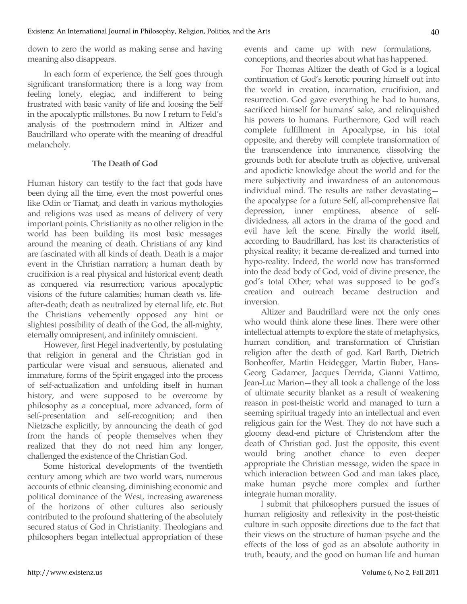down to zero the world as making sense and having meaning also disappears.

In each form of experience, the Self goes through significant transformation; there is a long way from feeling lonely, elegiac, and indifferent to being frustrated with basic vanity of life and loosing the Self in the apocalyptic millstones. Bu now I return to Feld's analysis of the postmodern mind in Altizer and Baudrillard who operate with the meaning of dreadful melancholy.

## **The Death of God**

Human history can testify to the fact that gods have been dying all the time, even the most powerful ones like Odin or Tiamat, and death in various mythologies and religions was used as means of delivery of very important points. Christianity as no other religion in the world has been building its most basic messages around the meaning of death. Christians of any kind are fascinated with all kinds of death. Death is a major event in the Christian narration; a human death by crucifixion is a real physical and historical event; death as conquered via resurrection; various apocalyptic visions of the future calamities; human death vs. lifeafter-death; death as neutralized by eternal life, etc. But the Christians vehemently opposed any hint or slightest possibility of death of the God, the all-mighty, eternally omnipresent, and infinitely omniscient.

However, first Hegel inadvertently, by postulating that religion in general and the Christian god in particular were visual and sensuous, alienated and immature, forms of the Spirit engaged into the process of self-actualization and unfolding itself in human history, and were supposed to be overcome by philosophy as a conceptual, more advanced, form of self-presentation and self-recognition; and then Nietzsche explicitly, by announcing the death of god from the hands of people themselves when they realized that they do not need him any longer, challenged the existence of the Christian God.

Some historical developments of the twentieth century among which are two world wars, numerous accounts of ethnic cleansing, diminishing economic and political dominance of the West, increasing awareness of the horizons of other cultures also seriously contributed to the profound shattering of the absolutely secured status of God in Christianity. Theologians and philosophers began intellectual appropriation of these

events and came up with new formulations, conceptions, and theories about what has happened.

For Thomas Altizer the death of God is a logical continuation of God's kenotic pouring himself out into the world in creation, incarnation, crucifixion, and resurrection. God gave everything he had to humans, sacrificed himself for humans' sake, and relinquished his powers to humans. Furthermore, God will reach complete fulfillment in Apocalypse, in his total opposite, and thereby will complete transformation of the transcendence into immanence, dissolving the grounds both for absolute truth as objective, universal and apodictic knowledge about the world and for the mere subjectivity and inwardness of an autonomous individual mind. The results are rather devastating the apocalypse for a future Self, all-comprehensive flat depression, inner emptiness, absence of selfdividedness, all actors in the drama of the good and evil have left the scene. Finally the world itself, according to Baudrillard, has lost its characteristics of physical reality; it became de-realized and turned into hypo-reality. Indeed, the world now has transformed into the dead body of God, void of divine presence, the god's total Other; what was supposed to be god's creation and outreach became destruction and inversion.

Altizer and Baudrillard were not the only ones who would think alone these lines. There were other intellectual attempts to explore the state of metaphysics, human condition, and transformation of Christian religion after the death of god. Karl Barth, Dietrich Bonheoffer, Martin Heidegger, Martin Buber, Hans-Georg Gadamer, Jacques Derrida, Gianni Vattimo, Jean-Luc Marion—they all took a challenge of the loss of ultimate security blanket as a result of weakening reason in post-theistic world and managed to turn a seeming spiritual tragedy into an intellectual and even religious gain for the West. They do not have such a gloomy dead-end picture of Christendom after the death of Christian god. Just the opposite, this event would bring another chance to even deeper appropriate the Christian message, widen the space in which interaction between God and man takes place, make human psyche more complex and further integrate human morality.

I submit that philosophers pursued the issues of human religiosity and reflexivity in the post-theistic culture in such opposite directions due to the fact that their views on the structure of human psyche and the effects of the loss of god as an absolute authority in truth, beauty, and the good on human life and human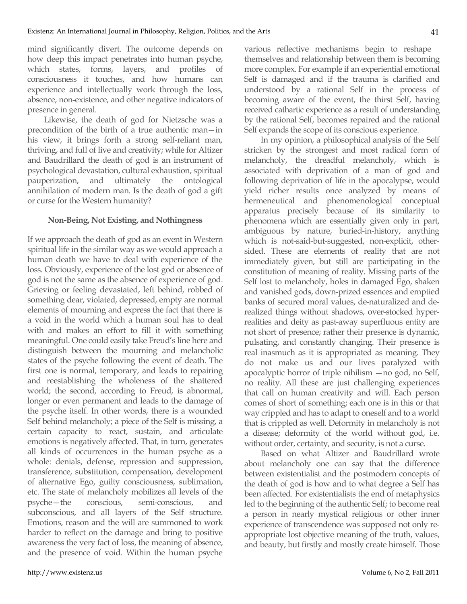mind significantly divert. The outcome depends on how deep this impact penetrates into human psyche, which states, forms, layers, and profiles of consciousness it touches, and how humans can experience and intellectually work through the loss, absence, non-existence, and other negative indicators of presence in general.

Likewise, the death of god for Nietzsche was a precondition of the birth of a true authentic man—in his view, it brings forth a strong self-reliant man, thriving, and full of live and creativity; while for Altizer and Baudrillard the death of god is an instrument of psychological devastation, cultural exhaustion, spiritual pauperization, and ultimately the ontological annihilation of modern man. Is the death of god a gift or curse for the Western humanity?

## **Non-Being, Not Existing, and Nothingness**

If we approach the death of god as an event in Western spiritual life in the similar way as we would approach a human death we have to deal with experience of the loss. Obviously, experience of the lost god or absence of god is not the same as the absence of experience of god. Grieving or feeling devastated, left behind, robbed of something dear, violated, depressed, empty are normal elements of mourning and express the fact that there is a void in the world which a human soul has to deal with and makes an effort to fill it with something meaningful. One could easily take Freud's line here and distinguish between the mourning and melancholic states of the psyche following the event of death. The first one is normal, temporary, and leads to repairing and reestablishing the wholeness of the shattered world; the second, according to Freud, is abnormal, longer or even permanent and leads to the damage of the psyche itself. In other words, there is a wounded Self behind melancholy; a piece of the Self is missing, a certain capacity to react, sustain, and articulate emotions is negatively affected. That, in turn, generates all kinds of occurrences in the human psyche as a whole: denials, defense, repression and suppression, transference, substitution, compensation, development of alternative Ego, guilty consciousness, sublimation, etc. The state of melancholy mobilizes all levels of the psyche—the conscious, semi-conscious, and subconscious, and all layers of the Self structure. Emotions, reason and the will are summoned to work harder to reflect on the damage and bring to positive awareness the very fact of loss, the meaning of absence, and the presence of void. Within the human psyche various reflective mechanisms begin to reshape themselves and relationship between them is becoming more complex. For example if an experiential emotional Self is damaged and if the trauma is clarified and understood by a rational Self in the process of becoming aware of the event, the thirst Self, having received cathartic experience as a result of understanding by the rational Self, becomes repaired and the rational Self expands the scope of its conscious experience.

In my opinion, a philosophical analysis of the Self stricken by the strongest and most radical form of melancholy, the dreadful melancholy, which is associated with deprivation of a man of god and following deprivation of life in the apocalypse, would yield richer results once analyzed by means of hermeneutical and phenomenological conceptual apparatus precisely because of its similarity to phenomena which are essentially given only in part, ambiguous by nature, buried-in-history, anything which is not-said-but-suggested, non-explicit, othersided. These are elements of reality that are not immediately given, but still are participating in the constitution of meaning of reality. Missing parts of the Self lost to melancholy, holes in damaged Ego, shaken and vanished gods, down-prized essences and emptied banks of secured moral values, de-naturalized and derealized things without shadows, over-stocked hyperrealities and deity as past-away superfluous entity are not short of presence; rather their presence is dynamic, pulsating, and constantly changing. Their presence is real inasmuch as it is appropriated as meaning. They do not make us and our lives paralyzed with apocalyptic horror of triple nihilism —no god, no Self, no reality. All these are just challenging experiences that call on human creativity and will. Each person comes of short of something; each one is in this or that way crippled and has to adapt to oneself and to a world that is crippled as well. Deformity in melancholy is not a disease; deformity of the world without god, i.e. without order, certainty, and security, is not a curse.

Based on what Altizer and Baudrillard wrote about melancholy one can say that the difference between existentialist and the postmodern concepts of the death of god is how and to what degree a Self has been affected. For existentialists the end of metaphysics led to the beginning of the authentic Self; to become real a person in nearly mystical religious or other inner experience of transcendence was supposed not only reappropriate lost objective meaning of the truth, values, and beauty, but firstly and mostly create himself. Those